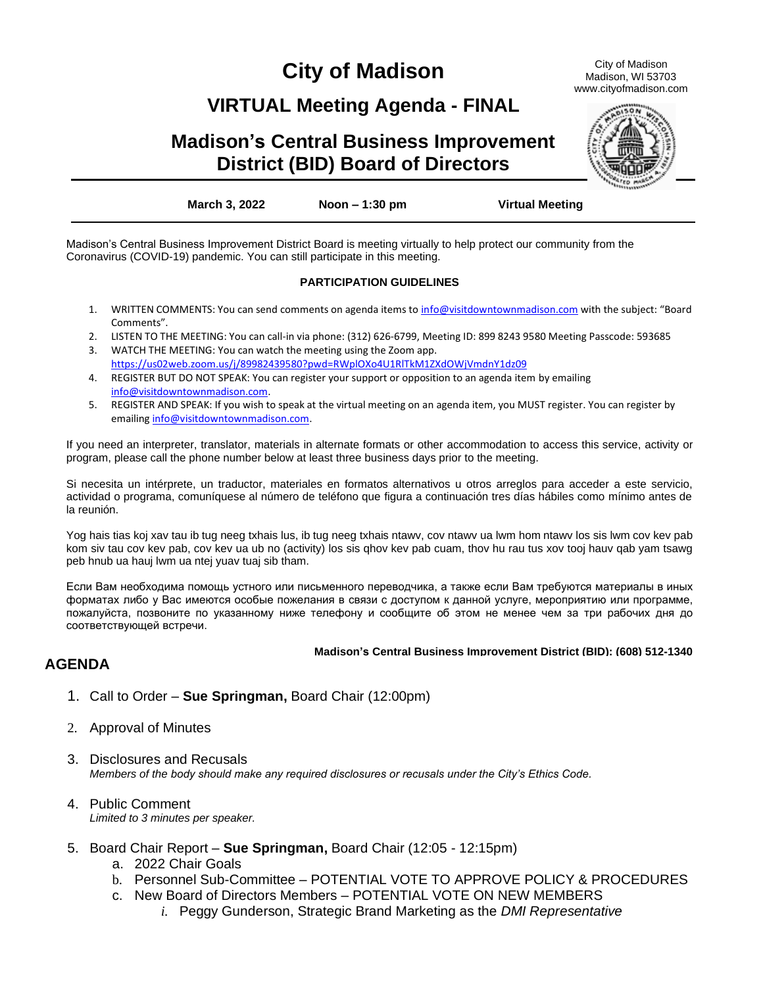# **City of Madison**

City of Madison Madison, WI 53703 www.cityofmadison.com

## **VIRTUAL Meeting Agenda - FINAL**

## **Madison's Central Business Improvement District (BID) Board of Directors**



**March 3, 2022 Noon – 1:30 pm Virtual Meeting**

Madison's Central Business Improvement District Board is meeting virtually to help protect our community from the Coronavirus (COVID-19) pandemic. You can still participate in this meeting.

#### **PARTICIPATION GUIDELINES**

- 1. WRITTEN COMMENTS: You can send comments on agenda items to [info@visitdowntownmadison.com](mailto:info@visitdowntownmadison.com) with the subject: "Board Comments".
- 2. LISTEN TO THE MEETING: You can call-in via phone: (312) 626-6799, Meeting ID: 899 8243 9580 Meeting Passcode: 593685
- 3. WATCH THE MEETING: You can watch the meeting using the Zoom app. <https://us02web.zoom.us/j/89982439580?pwd=RWplOXo4U1RlTkM1ZXdOWjVmdnY1dz09>
- 4. REGISTER BUT DO NOT SPEAK: You can register your support or opposition to an agenda item by emailing [info@visitdowntownmadison.com.](mailto:info@visitdowntownmadison.com)
- 5. REGISTER AND SPEAK: If you wish to speak at the virtual meeting on an agenda item, you MUST register. You can register by emailin[g info@visitdowntownmadison.com.](mailto:info@visitdowntownmadison.com)

If you need an interpreter, translator, materials in alternate formats or other accommodation to access this service, activity or program, please call the phone number below at least three business days prior to the meeting.

Si necesita un intérprete, un traductor, materiales en formatos alternativos u otros arreglos para acceder a este servicio, actividad o programa, comuníquese al número de teléfono que figura a continuación tres días hábiles como mínimo antes de la reunión.

Yog hais tias koj xav tau ib tug neeg txhais lus, ib tug neeg txhais ntawv, cov ntawv ua lwm hom ntawv los sis lwm cov kev pab kom siv tau cov kev pab, cov kev ua ub no (activity) los sis qhov kev pab cuam, thov hu rau tus xov tooj hauv qab yam tsawg peb hnub ua hauj lwm ua ntej yuav tuaj sib tham.

Если Вам необходима помощь устного или письменного переводчика, а также если Вам требуются материалы в иных форматах либо у Вас имеются особые пожелания в связи с доступом к данной услуге, мероприятию или программе, пожалуйста, позвоните по указанному ниже телефону и сообщите об этом не менее чем за три рабочих дня до соответствующей встречи.

#### **Madison's Central Business Improvement District (BID): (608) 512-1340**

### **AGENDA**

- 1. Call to Order **Sue Springman,** Board Chair (12:00pm)
- 2. Approval of Minutes
- 3. Disclosures and Recusals *Members of the body should make any required disclosures or recusals under the City's Ethics Code.*
- 4. Public Comment *Limited to 3 minutes per speaker.*
- 5. Board Chair Report **Sue Springman,** Board Chair (12:05 12:15pm)
	- a. 2022 Chair Goals
	- b. Personnel Sub-Committee POTENTIAL VOTE TO APPROVE POLICY & PROCEDURES
	- c. New Board of Directors Members POTENTIAL VOTE ON NEW MEMBERS
		- *i.* Peggy Gunderson, Strategic Brand Marketing as the *DMI Representative*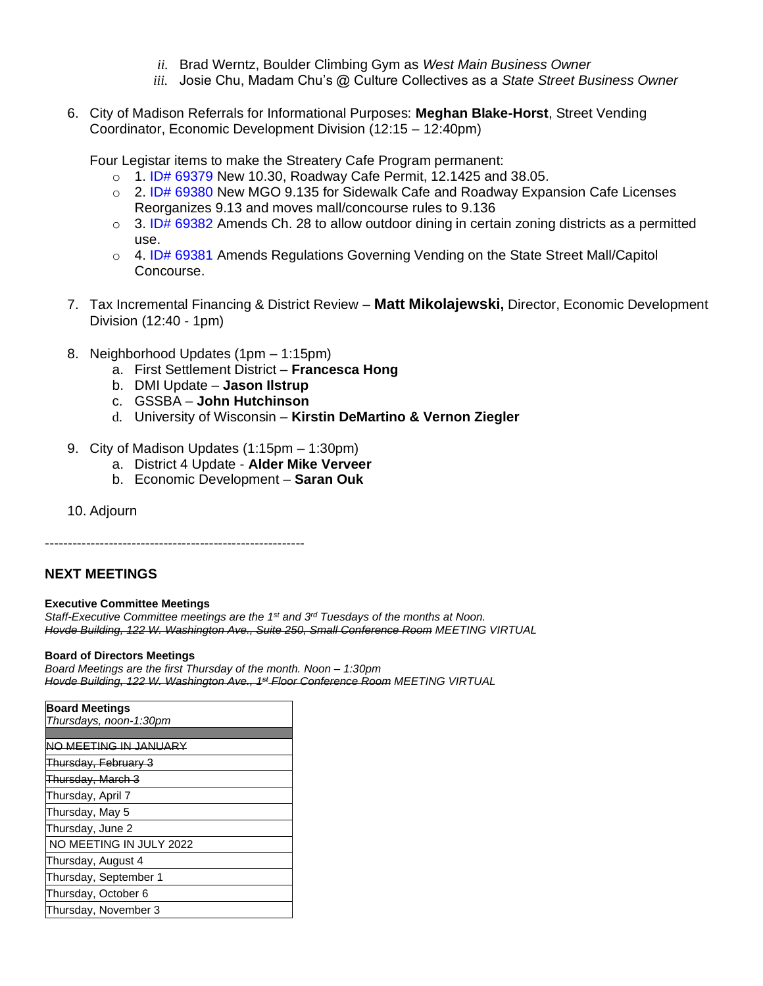- *ii.* Brad Werntz, Boulder Climbing Gym as *West Main Business Owner*
- *iii.* Josie Chu, Madam Chu's @ Culture Collectives as a *State Street Business Owner*
- 6. City of Madison Referrals for Informational Purposes: **Meghan Blake-Horst**, Street Vending Coordinator, Economic Development Division (12:15 – 12:40pm)

Four Legistar items to make the Streatery Cafe Program permanent:

- $\circ$  1. ID# 69379 New 10.30, Roadway Cafe Permit, 12.1425 and 38.05.
- o 2. ID# 69380 New MGO 9.135 for Sidewalk Cafe and Roadway Expansion Cafe Licenses Reorganizes 9.13 and moves mall/concourse rules to 9.136
- $\circ$  3. ID# 69382 Amends Ch. 28 to allow outdoor dining in certain zoning districts as a permitted use.
- $\circ$  4. ID# 69381 Amends Regulations Governing Vending on the State Street Mall/Capitol Concourse.
- 7. Tax Incremental Financing & District Review **Matt Mikolajewski,** Director, Economic Development Division (12:40 - 1pm)
- 8. Neighborhood Updates (1pm 1:15pm)
	- a. First Settlement District **Francesca Hong**
	- b. DMI Update **Jason Ilstrup**
	- c. GSSBA **John Hutchinson**
	- d. University of Wisconsin **Kirstin DeMartino & Vernon Ziegler**
- 9. City of Madison Updates (1:15pm 1:30pm)
	- a. District 4 Update **Alder Mike Verveer**
	- b. Economic Development **Saran Ouk**
- 10. Adjourn

---------------------------------------------------------

### **NEXT MEETINGS**

#### **Executive Committee Meetings**

*Staff-Executive Committee meetings are the 1 st and 3rd Tuesdays of the months at Noon. Hovde Building, 122 W. Washington Ave., Suite 250, Small Conference Room MEETING VIRTUAL*

#### **Board of Directors Meetings**

*Board Meetings are the first Thursday of the month. Noon – 1:30pm Hovde Building, 122 W. Washington Ave., 1st Floor Conference Room MEETING VIRTUAL*

| <b>Board Meetings</b>   |
|-------------------------|
| Thursdays, noon-1:30pm  |
|                         |
| NO MEETING IN JANUARY   |
| Thursday, February 3    |
| Thursday, March 3       |
| Thursday, April 7       |
| Thursday, May 5         |
| Thursday, June 2        |
| NO MEETING IN JULY 2022 |
| Thursday, August 4      |
| Thursday, September 1   |
| Thursday, October 6     |
| Thursday, November 3    |